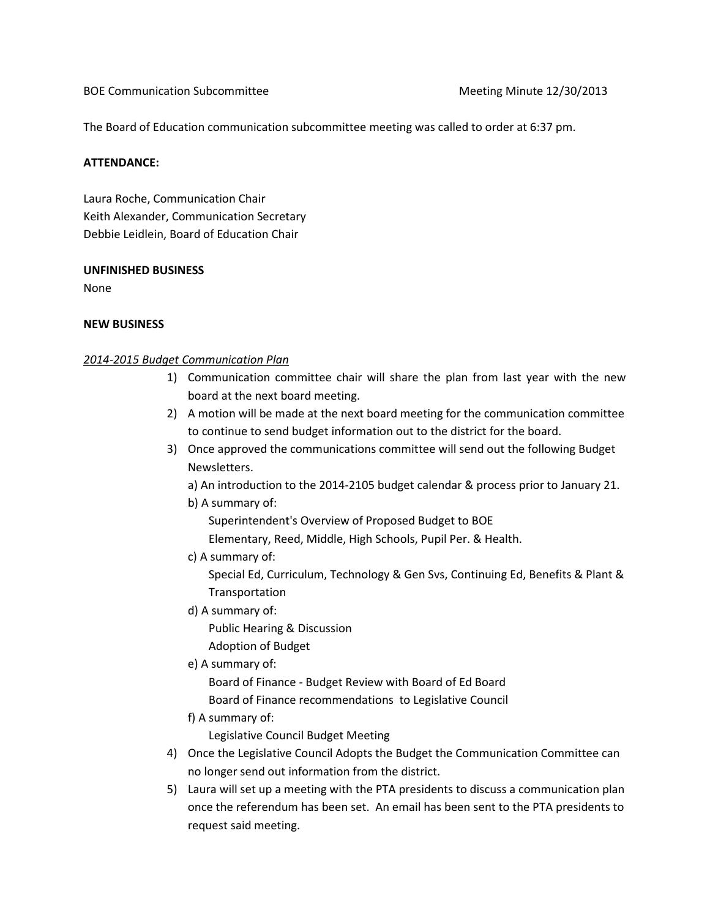BOE Communication Subcommittee Meeting Minute 12/30/2013

The Board of Education communication subcommittee meeting was called to order at 6:37 pm.

## ATTENDANCE:

Laura Roche, Communication Chair Keith Alexander, Communication Secretary Debbie Leidlein, Board of Education Chair

#### UNFINISHED BUSINESS

None

# NEW BUSINESS

# 2014-2015 Budget Communication Plan

- 1) Communication committee chair will share the plan from last year with the new board at the next board meeting.
- 2) A motion will be made at the next board meeting for the communication committee to continue to send budget information out to the district for the board.
- 3) Once approved the communications committee will send out the following Budget Newsletters.

a) An introduction to the 2014-2105 budget calendar & process prior to January 21.

b) A summary of:

Superintendent's Overview of Proposed Budget to BOE

Elementary, Reed, Middle, High Schools, Pupil Per. & Health.

c) A summary of:

 Special Ed, Curriculum, Technology & Gen Svs, Continuing Ed, Benefits & Plant & Transportation

d) A summary of:

Public Hearing & Discussion

Adoption of Budget

e) A summary of:

Board of Finance - Budget Review with Board of Ed Board

Board of Finance recommendations to Legislative Council

f) A summary of:

Legislative Council Budget Meeting

- 4) Once the Legislative Council Adopts the Budget the Communication Committee can no longer send out information from the district.
- 5) Laura will set up a meeting with the PTA presidents to discuss a communication plan once the referendum has been set. An email has been sent to the PTA presidents to request said meeting.